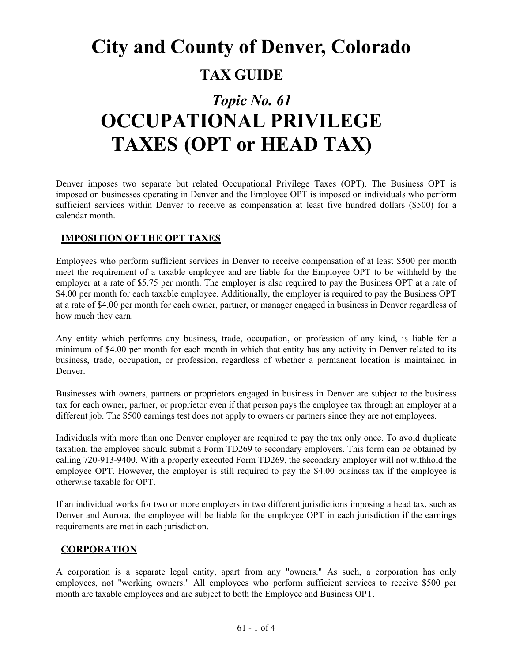# **City and County of Denver, Colorado TAX GUIDE**

# *Topic No. 61* **OCCUPATIONAL PRIVILEGE TAXES (OPT or HEAD TAX)**

Denver imposes two separate but related Occupational Privilege Taxes (OPT). The Business OPT is imposed on businesses operating in Denver and the Employee OPT is imposed on individuals who perform sufficient services within Denver to receive as compensation at least five hundred dollars (\$500) for a calendar month.

#### **IMPOSITION OF THE OPT TAXES**

Employees who perform sufficient services in Denver to receive compensation of at least \$500 per month meet the requirement of a taxable employee and are liable for the Employee OPT to be withheld by the employer at a rate of \$5.75 per month. The employer is also required to pay the Business OPT at a rate of \$4.00 per month for each taxable employee. Additionally, the employer is required to pay the Business OPT at a rate of \$4.00 per month for each owner, partner, or manager engaged in business in Denver regardless of how much they earn.

Any entity which performs any business, trade, occupation, or profession of any kind, is liable for a minimum of \$4.00 per month for each month in which that entity has any activity in Denver related to its business, trade, occupation, or profession, regardless of whether a permanent location is maintained in Denver.

Businesses with owners, partners or proprietors engaged in business in Denver are subject to the business tax for each owner, partner, or proprietor even if that person pays the employee tax through an employer at a different job. The \$500 earnings test does not apply to owners or partners since they are not employees.

Individuals with more than one Denver employer are required to pay the tax only once. To avoid duplicate taxation, the employee should submit a Form TD269 to secondary employers. This form can be obtained by calling 720-913-9400. With a properly executed Form TD269, the secondary employer will not withhold the employee OPT. However, the employer is still required to pay the \$4.00 business tax if the employee is otherwise taxable for OPT.

If an individual works for two or more employers in two different jurisdictions imposing a head tax, such as Denver and Aurora, the employee will be liable for the employee OPT in each jurisdiction if the earnings requirements are met in each jurisdiction.

### **CORPORATION**

A corporation is a separate legal entity, apart from any "owners." As such, a corporation has only employees, not "working owners." All employees who perform sufficient services to receive \$500 per month are taxable employees and are subject to both the Employee and Business OPT.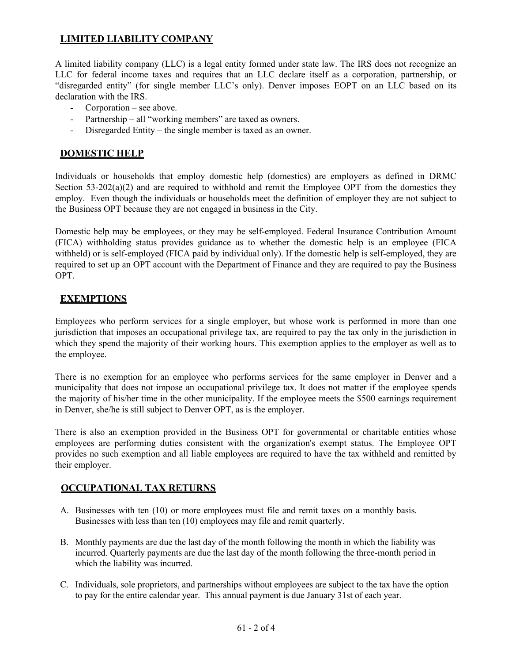# **LIMITED LIABILITY COMPANY**

A limited liability company (LLC) is a legal entity formed under state law. The IRS does not recognize an LLC for federal income taxes and requires that an LLC declare itself as a corporation, partnership, or "disregarded entity" (for single member LLC's only). Denver imposes EOPT on an LLC based on its declaration with the IRS.

- Corporation see above.
- Partnership all "working members" are taxed as owners.
- Disregarded Entity the single member is taxed as an owner.

# **DOMESTIC HELP**

Individuals or households that employ domestic help (domestics) are employers as defined in DRMC Section  $53-202(a)(2)$  and are required to withhold and remit the Employee OPT from the domestics they employ. Even though the individuals or households meet the definition of employer they are not subject to the Business OPT because they are not engaged in business in the City.

Domestic help may be employees, or they may be self-employed. Federal Insurance Contribution Amount (FICA) withholding status provides guidance as to whether the domestic help is an employee (FICA withheld) or is self-employed (FICA paid by individual only). If the domestic help is self-employed, they are required to set up an OPT account with the Department of Finance and they are required to pay the Business OPT.

# **EXEMPTIONS**

Employees who perform services for a single employer, but whose work is performed in more than one jurisdiction that imposes an occupational privilege tax, are required to pay the tax only in the jurisdiction in which they spend the majority of their working hours. This exemption applies to the employer as well as to the employee.

There is no exemption for an employee who performs services for the same employer in Denver and a municipality that does not impose an occupational privilege tax. It does not matter if the employee spends the majority of his/her time in the other municipality. If the employee meets the \$500 earnings requirement in Denver, she/he is still subject to Denver OPT, as is the employer.

There is also an exemption provided in the Business OPT for governmental or charitable entities whose employees are performing duties consistent with the organization's exempt status. The Employee OPT provides no such exemption and all liable employees are required to have the tax withheld and remitted by their employer.

### **OCCUPATIONAL TAX RETURNS**

- A. Businesses with ten (10) or more employees must file and remit taxes on a monthly basis. Businesses with less than ten (10) employees may file and remit quarterly.
- B. Monthly payments are due the last day of the month following the month in which the liability was incurred. Quarterly payments are due the last day of the month following the three-month period in which the liability was incurred.
- C. Individuals, sole proprietors, and partnerships without employees are subject to the tax have the option to pay for the entire calendar year. This annual payment is due January 31st of each year.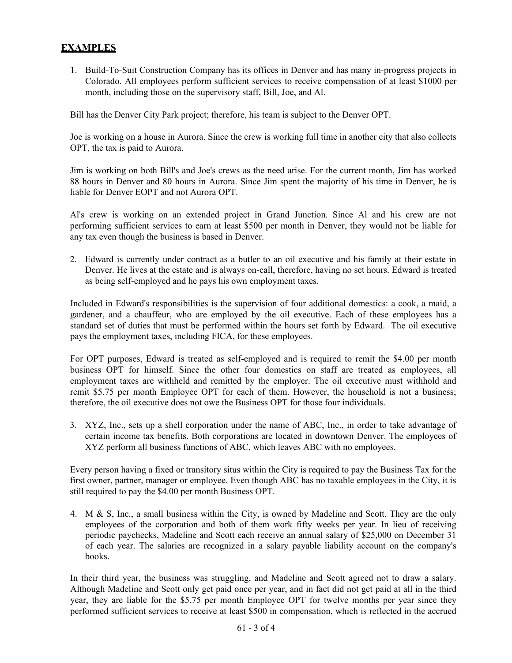### **EXAMPLES**

1. Build-To-Suit Construction Company has its offices in Denver and has many in-progress projects in Colorado. All employees perform sufficient services to receive compensation of at least \$1000 per month, including those on the supervisory staff, Bill, Joe, and Al.

Bill has the Denver City Park project; therefore, his team is subject to the Denver OPT.

Joe is working on a house in Aurora. Since the crew is working full time in another city that also collects OPT, the tax is paid to Aurora.

Jim is working on both Bill's and Joe's crews as the need arise. For the current month, Jim has worked 88 hours in Denver and 80 hours in Aurora. Since Jim spent the majority of his time in Denver, he is liable for Denver EOPT and not Aurora OPT.

Al's crew is working on an extended project in Grand Junction. Since Al and his crew are not performing sufficient services to earn at least \$500 per month in Denver, they would not be liable for any tax even though the business is based in Denver.

2. Edward is currently under contract as a butler to an oil executive and his family at their estate in Denver. He lives at the estate and is always on-call, therefore, having no set hours. Edward is treated as being self-employed and he pays his own employment taxes.

Included in Edward's responsibilities is the supervision of four additional domestics: a cook, a maid, a gardener, and a chauffeur, who are employed by the oil executive. Each of these employees has a standard set of duties that must be performed within the hours set forth by Edward. The oil executive pays the employment taxes, including FICA, for these employees.

For OPT purposes, Edward is treated as self-employed and is required to remit the \$4.00 per month business OPT for himself. Since the other four domestics on staff are treated as employees, all employment taxes are withheld and remitted by the employer. The oil executive must withhold and remit \$5.75 per month Employee OPT for each of them. However, the household is not a business; therefore, the oil executive does not owe the Business OPT for those four individuals.

3. XYZ, Inc., sets up a shell corporation under the name of ABC, Inc., in order to take advantage of certain income tax benefits. Both corporations are located in downtown Denver. The employees of XYZ perform all business functions of ABC, which leaves ABC with no employees.

Every person having a fixed or transitory situs within the City is required to pay the Business Tax for the first owner, partner, manager or employee. Even though ABC has no taxable employees in the City, it is still required to pay the \$4.00 per month Business OPT.

4. M & S, Inc., a small business within the City, is owned by Madeline and Scott. They are the only employees of the corporation and both of them work fifty weeks per year. In lieu of receiving periodic paychecks, Madeline and Scott each receive an annual salary of \$25,000 on December 31 of each year. The salaries are recognized in a salary payable liability account on the company's books.

In their third year, the business was struggling, and Madeline and Scott agreed not to draw a salary. Although Madeline and Scott only get paid once per year, and in fact did not get paid at all in the third year, they are liable for the \$5.75 per month Employee OPT for twelve months per year since they performed sufficient services to receive at least \$500 in compensation, which is reflected in the accrued